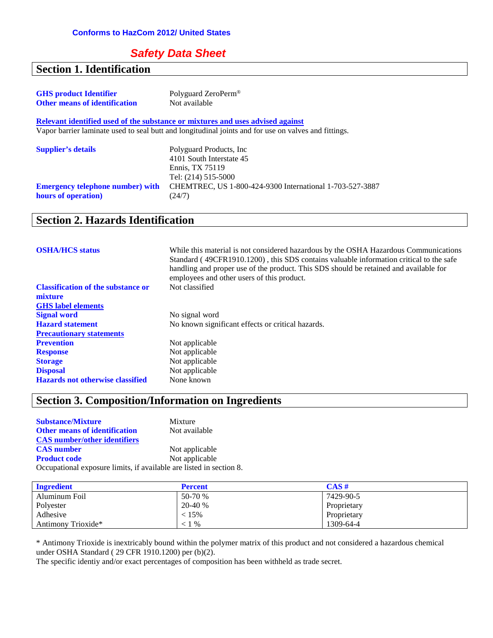#### *Safety Data Sheet*

#### **Section 1. Identification**

| <b>GHS</b> product Identifier        | Polyguard ZeroPerm <sup>®</sup> |
|--------------------------------------|---------------------------------|
| <b>Other means of identification</b> | Not available                   |

**Relevant identified used of the substance or mixtures and uses advised against** Vapor barrier laminate used to seal butt and longitudinal joints and for use on valves and fittings.

| <b>Supplier's details</b>                                      | Polyguard Products, Inc.<br>4101 South Interstate 45<br>Ennis. TX 75119                   |
|----------------------------------------------------------------|-------------------------------------------------------------------------------------------|
| <b>Emergency telephone number) with</b><br>hours of operation) | Tel: (214) 515-5000<br>CHEMTREC, US 1-800-424-9300 International 1-703-527-3887<br>(24/7) |

#### **Section 2. Hazards Identification**

| <b>OSHA/HCS status</b>                    | While this material is not considered hazardous by the OSHA Hazardous Communications<br>Standard (49CFR1910.1200), this SDS contains valuable information critical to the safe<br>handling and proper use of the product. This SDS should be retained and available for<br>employees and other users of this product. |
|-------------------------------------------|-----------------------------------------------------------------------------------------------------------------------------------------------------------------------------------------------------------------------------------------------------------------------------------------------------------------------|
| <b>Classification of the substance or</b> | Not classified                                                                                                                                                                                                                                                                                                        |
| mixture                                   |                                                                                                                                                                                                                                                                                                                       |
| <b>GHS</b> label elements                 |                                                                                                                                                                                                                                                                                                                       |
| <b>Signal word</b>                        | No signal word                                                                                                                                                                                                                                                                                                        |
| <b>Hazard statement</b>                   | No known significant effects or critical hazards.                                                                                                                                                                                                                                                                     |
| <b>Precautionary statements</b>           |                                                                                                                                                                                                                                                                                                                       |
| <b>Prevention</b>                         | Not applicable                                                                                                                                                                                                                                                                                                        |
| <b>Response</b>                           | Not applicable                                                                                                                                                                                                                                                                                                        |
| <b>Storage</b>                            | Not applicable                                                                                                                                                                                                                                                                                                        |
| <b>Disposal</b>                           | Not applicable                                                                                                                                                                                                                                                                                                        |
| <b>Hazards not otherwise classified</b>   | None known                                                                                                                                                                                                                                                                                                            |

## **Section 3. Composition/Information on Ingredients**

| <b>Substance/Mixture</b>                                            | Mixture        |
|---------------------------------------------------------------------|----------------|
| <b>Other means of identification</b>                                | Not available  |
| <b>CAS</b> number/other identifiers                                 |                |
| <b>CAS</b> number                                                   | Not applicable |
| <b>Product code</b>                                                 | Not applicable |
| Occupational exposure limits, if available are listed in section 8. |                |

| <b>Ingredient</b>  | <b>Percent</b> | CAS#        |
|--------------------|----------------|-------------|
| Aluminum Foil      | 50-70 %        | 7429-90-5   |
| Polyester          | 20-40 %        | Proprietary |
| Adhesive           | < 15%          | Proprietary |
| Antimony Trioxide* | $\%$           | 1309-64-4   |

\* Antimony Trioxide is inextricably bound within the polymer matrix of this product and not considered a hazardous chemical under OSHA Standard ( 29 CFR 1910.1200) per (b)(2).

The specific identiy and/or exact percentages of composition has been withheld as trade secret.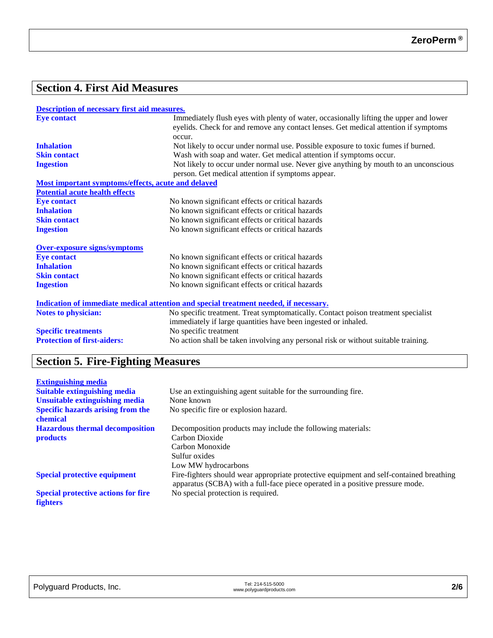## **Section 4. First Aid Measures**

| <b>Description of necessary first aid measures.</b> |  |  |  |
|-----------------------------------------------------|--|--|--|
|                                                     |  |  |  |

| <b>Eye contact</b>                                 | Immediately flush eyes with plenty of water, occasionally lifting the upper and lower<br>eyelids. Check for and remove any contact lenses. Get medical attention if symptoms |
|----------------------------------------------------|------------------------------------------------------------------------------------------------------------------------------------------------------------------------------|
|                                                    | occur.                                                                                                                                                                       |
| <b>Inhalation</b>                                  | Not likely to occur under normal use. Possible exposure to toxic fumes if burned.                                                                                            |
| <b>Skin contact</b>                                | Wash with soap and water. Get medical attention if symptoms occur.                                                                                                           |
| <b>Ingestion</b>                                   | Not likely to occur under normal use. Never give anything by mouth to an unconscious                                                                                         |
|                                                    | person. Get medical attention if symptoms appear.                                                                                                                            |
| Most important symptoms/effects, acute and delayed |                                                                                                                                                                              |
| <b>Potential acute health effects</b>              |                                                                                                                                                                              |
| <b>Eye contact</b>                                 | No known significant effects or critical hazards                                                                                                                             |
| <b>Inhalation</b>                                  | No known significant effects or critical hazards                                                                                                                             |
| <b>Skin contact</b>                                | No known significant effects or critical hazards                                                                                                                             |
| <b>Ingestion</b>                                   | No known significant effects or critical hazards                                                                                                                             |
| <b>Over-exposure signs/symptoms</b>                |                                                                                                                                                                              |
| <b>Eye contact</b>                                 | No known significant effects or critical hazards                                                                                                                             |
| <b>Inhalation</b>                                  | No known significant effects or critical hazards                                                                                                                             |
| <b>Skin contact</b>                                | No known significant effects or critical hazards                                                                                                                             |
| <b>Ingestion</b>                                   | No known significant effects or critical hazards                                                                                                                             |
|                                                    | Indication of immediate medical attention and special treatment needed, if necessary.                                                                                        |
| <b>Notes to physician:</b>                         | No specific treatment. Treat symptomatically. Contact poison treatment specialist                                                                                            |
|                                                    | immediately if large quantities have been ingested or inhaled.                                                                                                               |
| <b>Specific treatments</b>                         | No specific treatment                                                                                                                                                        |
| <b>Protection of first-aiders:</b>                 | No action shall be taken involving any personal risk or without suitable training.                                                                                           |

# **Section 5. Fire-Fighting Measures**

| <b>Extinguishing media</b>                           |                                                                                                                                                                          |
|------------------------------------------------------|--------------------------------------------------------------------------------------------------------------------------------------------------------------------------|
| <b>Suitable extinguishing media</b>                  | Use an extinguishing agent suitable for the surrounding fire.                                                                                                            |
| <b>Unsuitable extinguishing media</b>                | None known                                                                                                                                                               |
| <b>Specific hazards arising from the</b><br>chemical | No specific fire or explosion hazard.                                                                                                                                    |
| <b>Hazardous thermal decomposition</b>               | Decomposition products may include the following materials:                                                                                                              |
| <b>products</b>                                      | Carbon Dioxide                                                                                                                                                           |
|                                                      | Carbon Monoxide                                                                                                                                                          |
|                                                      | Sulfur oxides                                                                                                                                                            |
|                                                      | Low MW hydrocarbons                                                                                                                                                      |
| <b>Special protective equipment</b>                  | Fire-fighters should wear appropriate protective equipment and self-contained breathing<br>apparatus (SCBA) with a full-face piece operated in a positive pressure mode. |
| <b>Special protective actions for fire</b>           | No special protection is required.                                                                                                                                       |
| <b>fighters</b>                                      |                                                                                                                                                                          |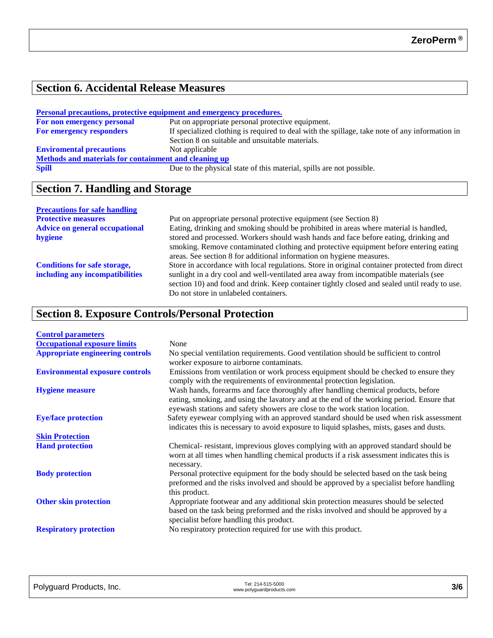#### **Section 6. Accidental Release Measures**

| <b>Personal precautions, protective equipment and emergency procedures.</b> |                                                                                                |  |  |
|-----------------------------------------------------------------------------|------------------------------------------------------------------------------------------------|--|--|
| For non emergency personal                                                  | Put on appropriate personal protective equipment.                                              |  |  |
| For emergency responders                                                    | If specialized clothing is required to deal with the spillage, take note of any information in |  |  |
|                                                                             | Section 8 on suitable and unsuitable materials.                                                |  |  |
| <b>Enviromental precautions</b>                                             | Not applicable                                                                                 |  |  |
| Methods and materials for containment and cleaning up                       |                                                                                                |  |  |
| <b>Spill</b>                                                                | Due to the physical state of this material, spills are not possible.                           |  |  |

# **Section 7. Handling and Storage**

#### **Precautions for safe handling**

| Put on appropriate personal protective equipment (see Section 8)                              |
|-----------------------------------------------------------------------------------------------|
| Eating, drinking and smoking should be prohibited in areas where material is handled,         |
| stored and processed. Workers should wash hands and face before eating, drinking and          |
| smoking. Remove contaminated clothing and protective equipment before entering eating         |
| areas. See section 8 for additional information on hygiene measures.                          |
| Store in accordance with local regulations. Store in original container protected from direct |
| sunlight in a dry cool and well-ventilated area away from incompatible materials (see         |
| section 10) and food and drink. Keep container tightly closed and sealed until ready to use.  |
| Do not store in unlabeled containers.                                                         |
|                                                                                               |

## **Section 8. Exposure Controls/Personal Protection**

| <b>Control parameters</b>               |                                                                                                                                                                                                                                                               |
|-----------------------------------------|---------------------------------------------------------------------------------------------------------------------------------------------------------------------------------------------------------------------------------------------------------------|
| <b>Occupational exposure limits</b>     | None                                                                                                                                                                                                                                                          |
| <b>Appropriate engineering controls</b> | No special ventilation requirements. Good ventilation should be sufficient to control<br>worker exposure to airborne contaminats.                                                                                                                             |
| <b>Environmental exposure controls</b>  | Emissions from ventilation or work process equipment should be checked to ensure they<br>comply with the requirements of environmental protection legislation.                                                                                                |
| <b>Hygiene measure</b>                  | Wash hands, forearms and face thoroughly after handling chemical products, before<br>eating, smoking, and using the lavatory and at the end of the working period. Ensure that<br>eyewash stations and safety showers are close to the work station location. |
| <b>Eye/face protection</b>              | Safety eyewear complying with an approved standard should be used when risk assessment<br>indicates this is necessary to avoid exposure to liquid splashes, mists, gases and dusts.                                                                           |
| <b>Skin Protection</b>                  |                                                                                                                                                                                                                                                               |
| <b>Hand protection</b>                  | Chemical-resistant, imprevious gloves complying with an approved standard should be<br>worn at all times when handling chemical products if a risk assessment indicates this is<br>necessary.                                                                 |
| <b>Body protection</b>                  | Personal protective equipment for the body should be selected based on the task being<br>preformed and the risks involved and should be approved by a specialist before handling<br>this product.                                                             |
| <b>Other skin protection</b>            | Appropriate footwear and any additional skin protection measures should be selected<br>based on the task being preformed and the risks involved and should be approved by a<br>specialist before handling this product.                                       |
| <b>Respiratory protection</b>           | No respiratory protection required for use with this product.                                                                                                                                                                                                 |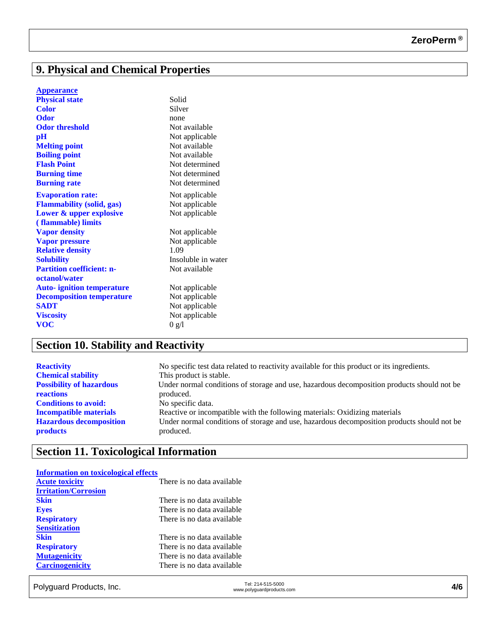# **9. Physical and Chemical Properties**

| <b>Appearance</b>                |                    |
|----------------------------------|--------------------|
| <b>Physical state</b>            | Solid              |
| <b>Color</b>                     | Silver             |
| <b>Odor</b>                      | none               |
| <b>Odor threshold</b>            | Not available      |
| pH                               | Not applicable     |
| <b>Melting point</b>             | Not available      |
| <b>Boiling point</b>             | Not available      |
| <b>Flash Point</b>               | Not determined     |
| <b>Burning time</b>              | Not determined     |
| <b>Burning rate</b>              | Not determined     |
| <b>Evaporation rate:</b>         | Not applicable     |
| <b>Flammability (solid, gas)</b> | Not applicable     |
| Lower & upper explosive          | Not applicable     |
| (flammable) limits               |                    |
| <b>Vapor density</b>             | Not applicable     |
| <b>Vapor pressure</b>            | Not applicable     |
| <b>Relative density</b>          | 1.09               |
| <b>Solubility</b>                | Insoluble in water |
| <b>Partition coefficient: n-</b> | Not available      |
| octanol/water                    |                    |
| <b>Auto-ignition temperature</b> | Not applicable     |
| <b>Decomposition temperature</b> | Not applicable     |
| <b>SADT</b>                      | Not applicable     |
| <b>Viscosity</b>                 | Not applicable     |
| <b>VOC</b>                       | 0 g/l              |

# **Section 10. Stability and Reactivity**

| <b>Reactivity</b>               | No specific test data related to reactivity available for this product or its ingredients. |
|---------------------------------|--------------------------------------------------------------------------------------------|
| <b>Chemical stability</b>       | This product is stable.                                                                    |
| <b>Possibility of hazardous</b> | Under normal conditions of storage and use, hazardous decomposition products should not be |
| <b>reactions</b>                | produced.                                                                                  |
| <b>Conditions to avoid:</b>     | No specific data.                                                                          |
| <b>Incompatible materials</b>   | Reactive or incompatible with the following materials: Oxidizing materials                 |
| <b>Hazardous decomposition</b>  | Under normal conditions of storage and use, hazardous decomposition products should not be |
| <b>products</b>                 | produced.                                                                                  |

# **Section 11. Toxicological Information**

| <b>Information on toxicological effects</b> |                            |  |
|---------------------------------------------|----------------------------|--|
| <b>Acute toxicity</b>                       | There is no data available |  |
| <b>Irritation/Corrosion</b>                 |                            |  |
| <b>Skin</b>                                 | There is no data available |  |
| <b>Eyes</b>                                 | There is no data available |  |
| <b>Respiratory</b>                          | There is no data available |  |
| <b>Sensitization</b>                        |                            |  |
| <b>Skin</b>                                 | There is no data available |  |
| <b>Respiratory</b>                          | There is no data available |  |
| <b>Mutagenicity</b>                         | There is no data available |  |
| <b>Carcinogenicity</b>                      | There is no data available |  |
|                                             |                            |  |

Tel: 214-515-5000<br>www.polyguard Products, Inc. Tel: 214-515-5000 Tel: 214-515-5000<br>www.polyguardproducts.com **4/6**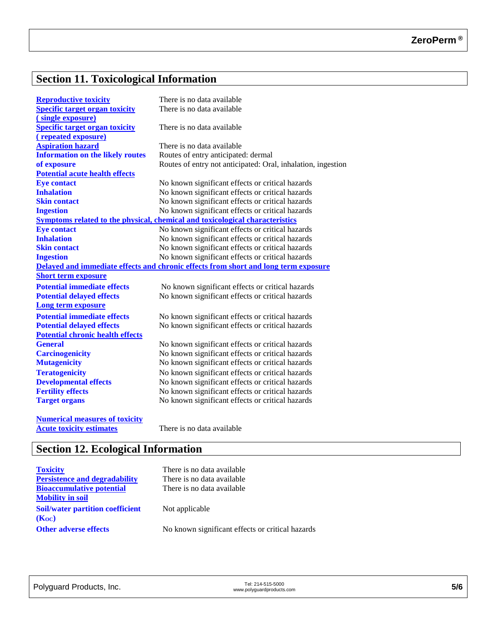# **Section 11. Toxicological Information**

| <b>Reproductive toxicity</b>                                                 | There is no data available                                                          |  |  |
|------------------------------------------------------------------------------|-------------------------------------------------------------------------------------|--|--|
| <b>Specific target organ toxicity</b>                                        | There is no data available                                                          |  |  |
| (single exposure)                                                            |                                                                                     |  |  |
| <b>Specific target organ toxicity</b>                                        | There is no data available                                                          |  |  |
| (repeated exposure)                                                          |                                                                                     |  |  |
| <b>Aspiration hazard</b>                                                     | There is no data available                                                          |  |  |
| <b>Information on the likely routes</b>                                      | Routes of entry anticipated: dermal                                                 |  |  |
| of exposure                                                                  | Routes of entry not anticipated: Oral, inhalation, ingestion                        |  |  |
| <b>Potential acute health effects</b>                                        |                                                                                     |  |  |
| <b>Eye contact</b>                                                           | No known significant effects or critical hazards                                    |  |  |
| <b>Inhalation</b>                                                            | No known significant effects or critical hazards                                    |  |  |
| <b>Skin contact</b>                                                          | No known significant effects or critical hazards                                    |  |  |
| <b>Ingestion</b>                                                             | No known significant effects or critical hazards                                    |  |  |
| Symptoms related to the physical, chemical and toxicological characteristics |                                                                                     |  |  |
| <b>Eye contact</b>                                                           | No known significant effects or critical hazards                                    |  |  |
| <b>Inhalation</b>                                                            | No known significant effects or critical hazards                                    |  |  |
| <b>Skin contact</b>                                                          | No known significant effects or critical hazards                                    |  |  |
| <b>Ingestion</b>                                                             | No known significant effects or critical hazards                                    |  |  |
|                                                                              | Delayed and immediate effects and chronic effects from short and long term exposure |  |  |
| <b>Short term exposure</b>                                                   |                                                                                     |  |  |
| <b>Potential immediate effects</b>                                           | No known significant effects or critical hazards                                    |  |  |
| <b>Potential delayed effects</b>                                             | No known significant effects or critical hazards                                    |  |  |
| <b>Long term exposure</b>                                                    |                                                                                     |  |  |
| <b>Potential immediate effects</b>                                           | No known significant effects or critical hazards                                    |  |  |
| <b>Potential delayed effects</b>                                             | No known significant effects or critical hazards                                    |  |  |
| <b>Potential chronic health effects</b>                                      |                                                                                     |  |  |
| <b>General</b>                                                               | No known significant effects or critical hazards                                    |  |  |
| <b>Carcinogenicity</b>                                                       | No known significant effects or critical hazards                                    |  |  |
| <b>Mutagenicity</b>                                                          | No known significant effects or critical hazards                                    |  |  |
| <b>Teratogenicity</b>                                                        | No known significant effects or critical hazards                                    |  |  |
| <b>Developmental effects</b>                                                 | No known significant effects or critical hazards                                    |  |  |
| <b>Fertility effects</b>                                                     | No known significant effects or critical hazards                                    |  |  |
| <b>Target organs</b>                                                         | No known significant effects or critical hazards                                    |  |  |
|                                                                              |                                                                                     |  |  |
| <b>Numerical measures of toxicity</b>                                        |                                                                                     |  |  |
| <b>Acute toxicity estimates</b>                                              | There is no data available                                                          |  |  |

# **Section 12. Ecological Information**

| <b>Toxicity</b>                         | There is no data available                       |
|-----------------------------------------|--------------------------------------------------|
| <b>Persistence and degradability</b>    | There is no data available                       |
| <b>Bioaccumulative potential</b>        | There is no data available                       |
| <b>Mobility in soil</b>                 |                                                  |
| <b>Soil/water partition coefficient</b> | Not applicable                                   |
| (Koc)                                   |                                                  |
| <b>Other adverse effects</b>            | No known significant effects or critical hazards |
|                                         |                                                  |

| Polyguard Products, Inc. | Tel: 214-515-5000         | 5/6 |
|--------------------------|---------------------------|-----|
|                          | www.polyguardproducts.com |     |